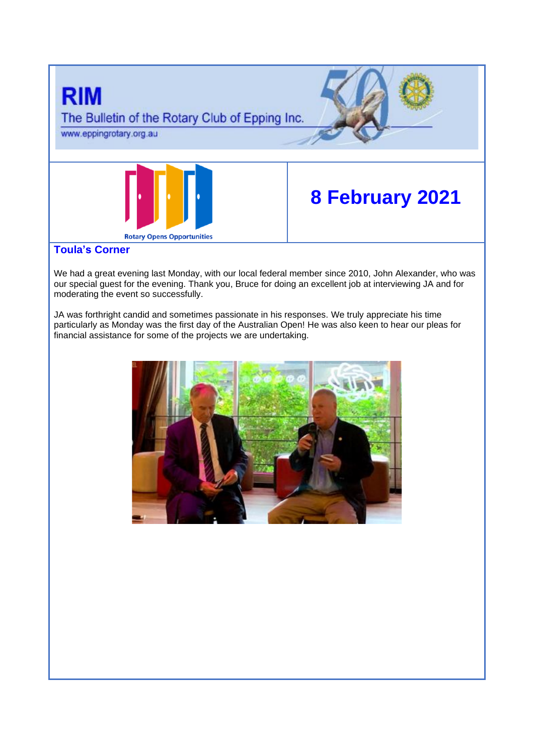

We had a great evening last Monday, with our local federal member since 2010, John Alexander, who was our special guest for the evening. Thank you, Bruce for doing an excellent job at interviewing JA and for moderating the event so successfully.

JA was forthright candid and sometimes passionate in his responses. We truly appreciate his time particularly as Monday was the first day of the Australian Open! He was also keen to hear our pleas for financial assistance for some of the projects we are undertaking.

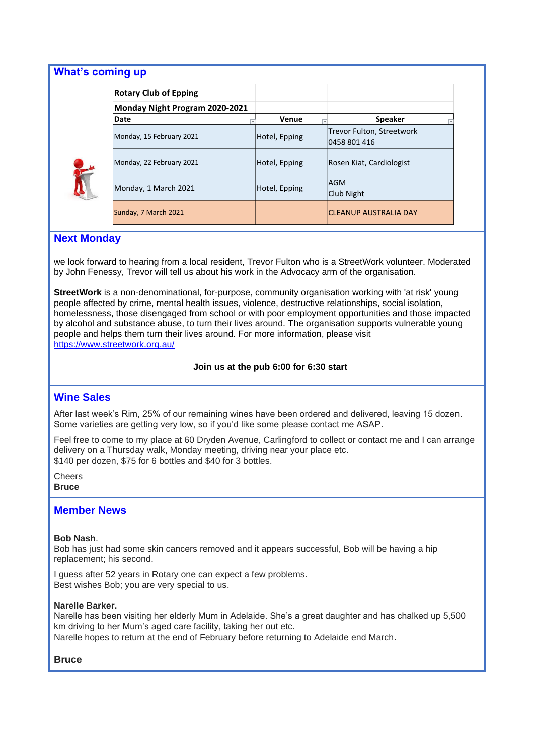| <b>What's coming up</b> |                                |               |                                           |
|-------------------------|--------------------------------|---------------|-------------------------------------------|
|                         | <b>Rotary Club of Epping</b>   |               |                                           |
|                         | Monday Night Program 2020-2021 |               |                                           |
|                         | Date                           | Venue         | <b>Speaker</b>                            |
|                         | Monday, 15 February 2021       | Hotel, Epping | Trevor Fulton, Streetwork<br>0458 801 416 |
|                         | Monday, 22 February 2021       | Hotel, Epping | Rosen Kiat, Cardiologist                  |
|                         | Monday, 1 March 2021           | Hotel, Epping | lAGM<br>Club Night                        |
|                         | Sunday, 7 March 2021           |               | <b>CLEANUP AUSTRALIA DAY</b>              |

## **Next Monday**

we look forward to hearing from a local resident, Trevor Fulton who is a StreetWork volunteer. Moderated by John Fenessy, Trevor will tell us about his work in the Advocacy arm of the organisation.

**StreetWork** is a non-denominational, for-purpose, community organisation working with 'at risk' young people affected by crime, mental health issues, violence, destructive relationships, social isolation, homelessness, those disengaged from school or with poor employment opportunities and those impacted by alcohol and substance abuse, to turn their lives around. The organisation supports vulnerable young people and helps them turn their lives around. For more information, please visit <https://www.streetwork.org.au/>

#### **Join us at the pub 6:00 for 6:30 start**

### **Wine Sales**

After last week's Rim, 25% of our remaining wines have been ordered and delivered, leaving 15 dozen. Some varieties are getting very low, so if you'd like some please contact me ASAP.

Feel free to come to my place at 60 Dryden Avenue, Carlingford to collect or contact me and I can arrange delivery on a Thursday walk, Monday meeting, driving near your place etc. \$140 per dozen, \$75 for 6 bottles and \$40 for 3 bottles.

**Cheers Bruce**

### **Member News**

#### **Bob Nash**.

Bob has just had some skin cancers removed and it appears successful, Bob will be having a hip replacement; his second.

I guess after 52 years in Rotary one can expect a few problems. Best wishes Bob; you are very special to us.

#### **Narelle Barker.**

Narelle has been visiting her elderly Mum in Adelaide. She's a great daughter and has chalked up 5,500 km driving to her Mum's aged care facility, taking her out etc.

Narelle hopes to return at the end of February before returning to Adelaide end March.

## **Bruce**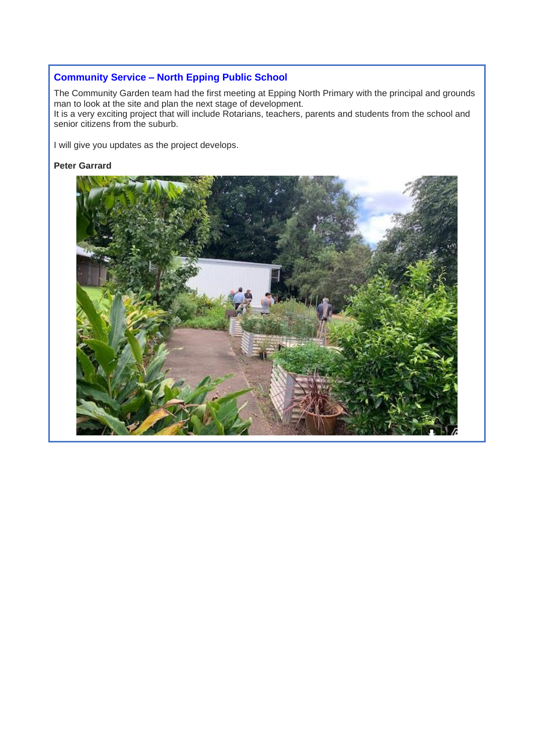# **Community Service – North Epping Public School**

The Community Garden team had the first meeting at Epping North Primary with the principal and grounds man to look at the site and plan the next stage of development. It is a very exciting project that will include Rotarians, teachers, parents and students from the school and

senior citizens from the suburb.

I will give you updates as the project develops.

## **Peter Garrard**

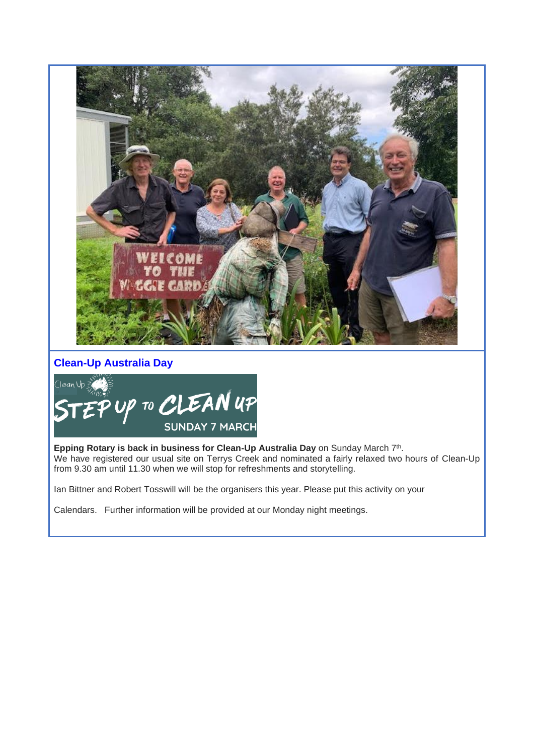

# **Clean-Up Australia Day**



Epping Rotary is back in business for Clean-Up Australia Day on Sunday March 7<sup>th</sup>. We have registered our usual site on Terrys Creek and nominated a fairly relaxed two hours of Clean-Up from 9.30 am until 11.30 when we will stop for refreshments and storytelling.

Ian Bittner and Robert Tosswill will be the organisers this year. Please put this activity on your

Calendars. Further information will be provided at our Monday night meetings.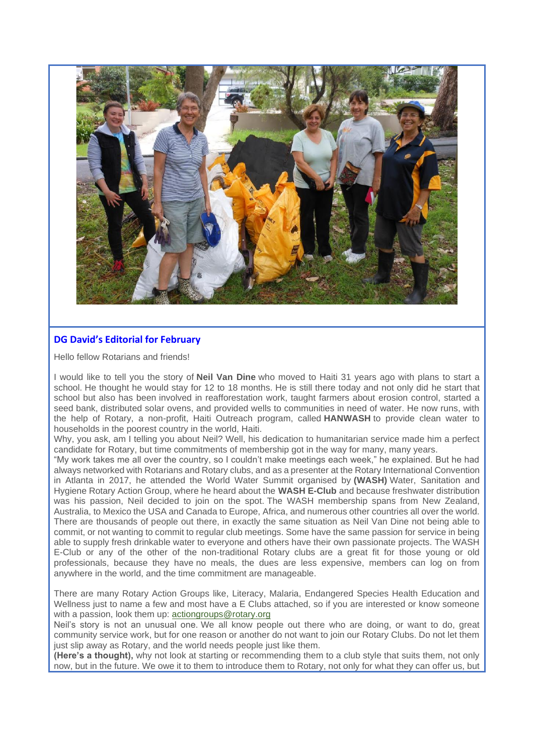

## **DG David's Editorial for February**

Hello fellow Rotarians and friends!

I would like to tell you the story of **Neil Van Dine** who moved to Haiti 31 years ago with plans to start a school. He thought he would stay for 12 to 18 months. He is still there today and not only did he start that school but also has been involved in reafforestation work, taught farmers about erosion control, started a seed bank, distributed solar ovens, and provided wells to communities in need of water. He now runs, with the help of Rotary, a non-profit, Haiti Outreach program, called **HANWASH** to provide clean water to households in the poorest country in the world, Haiti.

Why, you ask, am I telling you about Neil? Well, his dedication to humanitarian service made him a perfect candidate for Rotary, but time commitments of membership got in the way for many, many years.

"My work takes me all over the country, so I couldn't make meetings each week," he explained. But he had always networked with Rotarians and Rotary clubs, and as a presenter at the Rotary International Convention in Atlanta in 2017, he attended the World Water Summit organised by **(WASH)** Water, Sanitation and Hygiene Rotary Action Group, where he heard about the **WASH E-Club** and because freshwater distribution was his passion. Neil decided to join on the spot. The WASH membership spans from New Zealand, Australia, to Mexico the USA and Canada to Europe, Africa, and numerous other countries all over the world. There are thousands of people out there, in exactly the same situation as Neil Van Dine not being able to commit, or not wanting to commit to regular club meetings. Some have the same passion for service in being able to supply fresh drinkable water to everyone and others have their own passionate projects. The WASH E-Club or any of the other of the non-traditional Rotary clubs are a great fit for those young or old professionals, because they have no meals, the dues are less expensive, members can log on from anywhere in the world, and the time commitment are manageable.

There are many Rotary Action Groups like, Literacy, Malaria, Endangered Species Health Education and Wellness just to name a few and most have a E Clubs attached, so if you are interested or know someone with a passion, look them up: [actiongroups@rotary.org](mailto:actiongroups@rotary.org)

Neil's story is not an unusual one. We all know people out there who are doing, or want to do, great community service work, but for one reason or another do not want to join our Rotary Clubs. Do not let them just slip away as Rotary, and the world needs people just like them.

**(Here's a thought),** why not look at starting or recommending them to a club style that suits them, not only now, but in the future. We owe it to them to introduce them to Rotary, not only for what they can offer us, but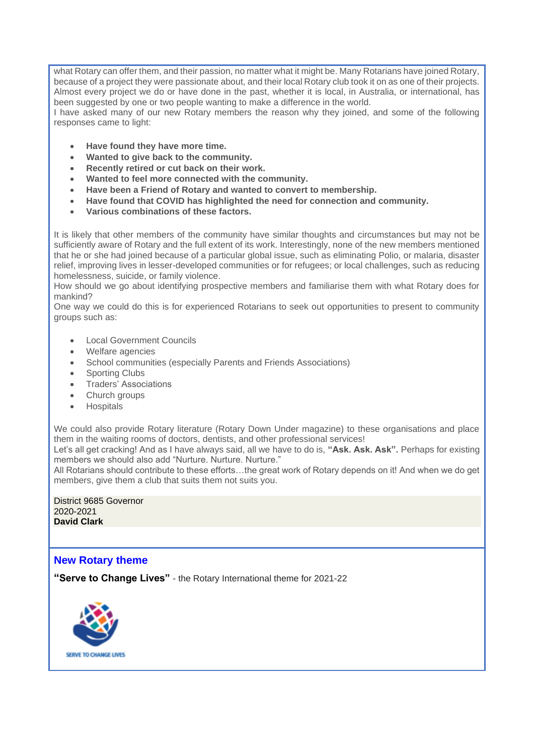what Rotary can offer them, and their passion, no matter what it might be. Many Rotarians have joined Rotary, because of a project they were passionate about, and their local Rotary club took it on as one of their projects. Almost every project we do or have done in the past, whether it is local, in Australia, or international, has been suggested by one or two people wanting to make a difference in the world.

I have asked many of our new Rotary members the reason why they joined, and some of the following responses came to light:

- **Have found they have more time.**
- **Wanted to give back to the community.**
- **Recently retired or cut back on their work.**
- **Wanted to feel more connected with the community.**
- **Have been a Friend of Rotary and wanted to convert to membership.**
- **Have found that COVID has highlighted the need for connection and community.**
- **Various combinations of these factors.**

It is likely that other members of the community have similar thoughts and circumstances but may not be sufficiently aware of Rotary and the full extent of its work. Interestingly, none of the new members mentioned that he or she had joined because of a particular global issue, such as eliminating Polio, or malaria, disaster relief, improving lives in lesser-developed communities or for refugees; or local challenges, such as reducing homelessness, suicide, or family violence.

How should we go about identifying prospective members and familiarise them with what Rotary does for mankind?

One way we could do this is for experienced Rotarians to seek out opportunities to present to community groups such as:

- **Local Government Councils**
- Welfare agencies
- School communities (especially Parents and Friends Associations)
- Sporting Clubs
- Traders' Associations
- Church groups
- Hospitals

We could also provide Rotary literature (Rotary Down Under magazine) to these organisations and place them in the waiting rooms of doctors, dentists, and other professional services!

Let's all get cracking! And as I have always said, all we have to do is, **"Ask. Ask. Ask".** Perhaps for existing members we should also add "Nurture. Nurture. Nurture."

All Rotarians should contribute to these efforts…the great work of Rotary depends on it! And when we do get members, give them a club that suits them not suits you.

District 9685 Governor 2020-2021 **David Clark**

## **New Rotary theme**

**"Serve to Change Lives"** - the Rotary International theme for 2021-22